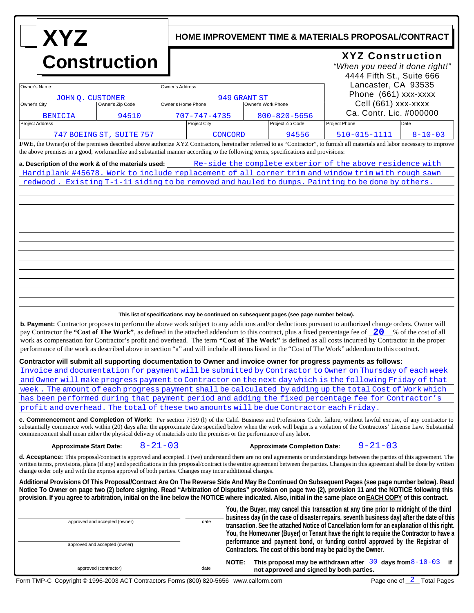# **XYZ Construction**

## **HOME IMPROVEMENT TIME & MATERIALS PROPOSAL/CONTRACT**

## **XYZ Construction**

| <b>CONStruction</b>                                                                                                               |                          |                                                                                                                                                                                                                                                                                                                                                                                                                                        |                                          |                                     | "When you need it done right!"<br>4444 Fifth St., Suite 666<br>Lancaster, CA 93535                                                                                                                                                                                                                                                                                                                                                                                                                                                                                                                                                                                                                                                                                                                                                                            |
|-----------------------------------------------------------------------------------------------------------------------------------|--------------------------|----------------------------------------------------------------------------------------------------------------------------------------------------------------------------------------------------------------------------------------------------------------------------------------------------------------------------------------------------------------------------------------------------------------------------------------|------------------------------------------|-------------------------------------|---------------------------------------------------------------------------------------------------------------------------------------------------------------------------------------------------------------------------------------------------------------------------------------------------------------------------------------------------------------------------------------------------------------------------------------------------------------------------------------------------------------------------------------------------------------------------------------------------------------------------------------------------------------------------------------------------------------------------------------------------------------------------------------------------------------------------------------------------------------|
| Owner's Name:<br>Owner's Address                                                                                                  |                          |                                                                                                                                                                                                                                                                                                                                                                                                                                        |                                          |                                     |                                                                                                                                                                                                                                                                                                                                                                                                                                                                                                                                                                                                                                                                                                                                                                                                                                                               |
|                                                                                                                                   |                          |                                                                                                                                                                                                                                                                                                                                                                                                                                        |                                          |                                     | Phone (661) xxx-xxxx                                                                                                                                                                                                                                                                                                                                                                                                                                                                                                                                                                                                                                                                                                                                                                                                                                          |
| JOHN Q. CUSTOMER<br>Owner's City<br>Owner's Zip Code                                                                              |                          | Owner's Home Phone                                                                                                                                                                                                                                                                                                                                                                                                                     | 949 GRANT ST<br>Owner's Work Phone       |                                     | Cell (661) xxx-xxxx                                                                                                                                                                                                                                                                                                                                                                                                                                                                                                                                                                                                                                                                                                                                                                                                                                           |
| BENICIA                                                                                                                           | 94510                    | $707 - 747 - 4735$                                                                                                                                                                                                                                                                                                                                                                                                                     |                                          | $800 - 820 - 5656$                  | Ca. Contr. Lic. #000000                                                                                                                                                                                                                                                                                                                                                                                                                                                                                                                                                                                                                                                                                                                                                                                                                                       |
| <b>Project Address</b>                                                                                                            |                          | Project City                                                                                                                                                                                                                                                                                                                                                                                                                           |                                          | Project Zip Code                    | <b>Project Phone</b><br>Date                                                                                                                                                                                                                                                                                                                                                                                                                                                                                                                                                                                                                                                                                                                                                                                                                                  |
|                                                                                                                                   | 747 BOEING ST, SUITE 757 |                                                                                                                                                                                                                                                                                                                                                                                                                                        | <b>CONCORD</b>                           | 94556                               | 510-015-1111<br>$8 - 10 - 03$                                                                                                                                                                                                                                                                                                                                                                                                                                                                                                                                                                                                                                                                                                                                                                                                                                 |
|                                                                                                                                   |                          |                                                                                                                                                                                                                                                                                                                                                                                                                                        |                                          |                                     | I/WE, the Owner(s) of the premises described above authorize XYZ Contractors, hereinafter referred to as "Contractor", to furnish all materials and labor necessary to improve                                                                                                                                                                                                                                                                                                                                                                                                                                                                                                                                                                                                                                                                                |
| the above premises in a good, workmanlike and substantial manner according to the following terms, specifications and provisions: |                          |                                                                                                                                                                                                                                                                                                                                                                                                                                        |                                          |                                     |                                                                                                                                                                                                                                                                                                                                                                                                                                                                                                                                                                                                                                                                                                                                                                                                                                                               |
|                                                                                                                                   |                          |                                                                                                                                                                                                                                                                                                                                                                                                                                        |                                          |                                     | a. Description of the work & of the materials used: Re-side the complete exterior of the above residence with                                                                                                                                                                                                                                                                                                                                                                                                                                                                                                                                                                                                                                                                                                                                                 |
|                                                                                                                                   |                          |                                                                                                                                                                                                                                                                                                                                                                                                                                        |                                          |                                     | Hardiplank #45678. Work to include replacement of all corner trim and window trim with rough sawn                                                                                                                                                                                                                                                                                                                                                                                                                                                                                                                                                                                                                                                                                                                                                             |
|                                                                                                                                   |                          |                                                                                                                                                                                                                                                                                                                                                                                                                                        |                                          |                                     | redwood. Existing T-1-11 siding to be removed and hauled to dumps. Painting to be done by others.                                                                                                                                                                                                                                                                                                                                                                                                                                                                                                                                                                                                                                                                                                                                                             |
|                                                                                                                                   |                          |                                                                                                                                                                                                                                                                                                                                                                                                                                        |                                          |                                     |                                                                                                                                                                                                                                                                                                                                                                                                                                                                                                                                                                                                                                                                                                                                                                                                                                                               |
|                                                                                                                                   |                          |                                                                                                                                                                                                                                                                                                                                                                                                                                        |                                          |                                     |                                                                                                                                                                                                                                                                                                                                                                                                                                                                                                                                                                                                                                                                                                                                                                                                                                                               |
|                                                                                                                                   |                          |                                                                                                                                                                                                                                                                                                                                                                                                                                        |                                          |                                     |                                                                                                                                                                                                                                                                                                                                                                                                                                                                                                                                                                                                                                                                                                                                                                                                                                                               |
|                                                                                                                                   |                          |                                                                                                                                                                                                                                                                                                                                                                                                                                        |                                          |                                     |                                                                                                                                                                                                                                                                                                                                                                                                                                                                                                                                                                                                                                                                                                                                                                                                                                                               |
|                                                                                                                                   |                          |                                                                                                                                                                                                                                                                                                                                                                                                                                        |                                          |                                     |                                                                                                                                                                                                                                                                                                                                                                                                                                                                                                                                                                                                                                                                                                                                                                                                                                                               |
|                                                                                                                                   |                          |                                                                                                                                                                                                                                                                                                                                                                                                                                        |                                          |                                     |                                                                                                                                                                                                                                                                                                                                                                                                                                                                                                                                                                                                                                                                                                                                                                                                                                                               |
|                                                                                                                                   |                          |                                                                                                                                                                                                                                                                                                                                                                                                                                        |                                          |                                     |                                                                                                                                                                                                                                                                                                                                                                                                                                                                                                                                                                                                                                                                                                                                                                                                                                                               |
|                                                                                                                                   |                          |                                                                                                                                                                                                                                                                                                                                                                                                                                        |                                          |                                     |                                                                                                                                                                                                                                                                                                                                                                                                                                                                                                                                                                                                                                                                                                                                                                                                                                                               |
|                                                                                                                                   |                          |                                                                                                                                                                                                                                                                                                                                                                                                                                        |                                          |                                     |                                                                                                                                                                                                                                                                                                                                                                                                                                                                                                                                                                                                                                                                                                                                                                                                                                                               |
|                                                                                                                                   |                          |                                                                                                                                                                                                                                                                                                                                                                                                                                        |                                          |                                     |                                                                                                                                                                                                                                                                                                                                                                                                                                                                                                                                                                                                                                                                                                                                                                                                                                                               |
|                                                                                                                                   |                          |                                                                                                                                                                                                                                                                                                                                                                                                                                        |                                          |                                     |                                                                                                                                                                                                                                                                                                                                                                                                                                                                                                                                                                                                                                                                                                                                                                                                                                                               |
|                                                                                                                                   |                          |                                                                                                                                                                                                                                                                                                                                                                                                                                        |                                          |                                     |                                                                                                                                                                                                                                                                                                                                                                                                                                                                                                                                                                                                                                                                                                                                                                                                                                                               |
|                                                                                                                                   |                          |                                                                                                                                                                                                                                                                                                                                                                                                                                        |                                          |                                     |                                                                                                                                                                                                                                                                                                                                                                                                                                                                                                                                                                                                                                                                                                                                                                                                                                                               |
|                                                                                                                                   |                          | This list of specifications may be continued on subsequent pages (see page number below).                                                                                                                                                                                                                                                                                                                                              |                                          |                                     |                                                                                                                                                                                                                                                                                                                                                                                                                                                                                                                                                                                                                                                                                                                                                                                                                                                               |
|                                                                                                                                   |                          |                                                                                                                                                                                                                                                                                                                                                                                                                                        |                                          |                                     | <b>b. Payment:</b> Contractor proposes to perform the above work subject to any additions and/or deductions pursuant to authorized change orders. Owner will<br>pay Contractor the "Cost of The Work", as defined in the attached addendum to this contract, plus a fixed percentage fee of 20 % of the cost of all<br>work as compensation for Contractor's profit and overhead. The term "Cost of The Work" is defined as all costs incurred by Contractor in the proper<br>performance of the work as described above in section "a" and will include all items listed in the "Cost of The Work" addendum to this contract.<br>Contractor will submit all supporting documentation to Owner and invoice owner for progress payments as follows:<br>Invoice and documentation for payment will be submitted by Contractor to Owner on Thursday of each week |
|                                                                                                                                   |                          |                                                                                                                                                                                                                                                                                                                                                                                                                                        |                                          |                                     |                                                                                                                                                                                                                                                                                                                                                                                                                                                                                                                                                                                                                                                                                                                                                                                                                                                               |
|                                                                                                                                   |                          |                                                                                                                                                                                                                                                                                                                                                                                                                                        |                                          |                                     | and Owner will make progress payment to Contractor on the next day which is the following Friday of that<br>week. The amount of each progress payment shall be calculated by adding up the total Cost of Work which                                                                                                                                                                                                                                                                                                                                                                                                                                                                                                                                                                                                                                           |
|                                                                                                                                   |                          |                                                                                                                                                                                                                                                                                                                                                                                                                                        |                                          |                                     |                                                                                                                                                                                                                                                                                                                                                                                                                                                                                                                                                                                                                                                                                                                                                                                                                                                               |
|                                                                                                                                   |                          |                                                                                                                                                                                                                                                                                                                                                                                                                                        |                                          |                                     | has been performed during that payment period and adding the fixed percentage fee for Contractor's                                                                                                                                                                                                                                                                                                                                                                                                                                                                                                                                                                                                                                                                                                                                                            |
| profit and overhead. The total of these two amounts will be due Contractor each Friday.                                           |                          |                                                                                                                                                                                                                                                                                                                                                                                                                                        |                                          |                                     |                                                                                                                                                                                                                                                                                                                                                                                                                                                                                                                                                                                                                                                                                                                                                                                                                                                               |
| commencement shall mean either the physical delivery of materials onto the premises or the performance of any labor.              |                          |                                                                                                                                                                                                                                                                                                                                                                                                                                        |                                          |                                     | <b>c. Commencement and Completion of Work:</b> Per section 7159 (1) of the Calif. Business and Professions Code. failure, without lawful excuse, of any contractor to<br>substantially commence work within (20) days after the approximate date specified below when the work will begin is a violation of the Contractors' License Law. Substantial                                                                                                                                                                                                                                                                                                                                                                                                                                                                                                         |
| Approximate Start Date:                                                                                                           |                          | $8 - 21 - 03$                                                                                                                                                                                                                                                                                                                                                                                                                          |                                          | <b>Approximate Completion Date:</b> | $9 - 21 - 03$                                                                                                                                                                                                                                                                                                                                                                                                                                                                                                                                                                                                                                                                                                                                                                                                                                                 |
| change order only and with the express approval of both parties. Changes may incur additional charges.                            |                          |                                                                                                                                                                                                                                                                                                                                                                                                                                        |                                          |                                     | d. Acceptance: This proposal/contract is approved and accepted. I (we) understand there are no oral agreements or understandings between the parties of this agreement. The<br>written terms, provisions, plans (if any) and specifications in this proposal/contract is the entire agreement between the parties. Changes in this agreement shall be done by written                                                                                                                                                                                                                                                                                                                                                                                                                                                                                         |
|                                                                                                                                   |                          |                                                                                                                                                                                                                                                                                                                                                                                                                                        |                                          |                                     | Additional Provisions Of This Proposal/Contract Are On The Reverse Side And May Be Continued On Subsequent Pages (see page number below). Read<br>Notice To Owner on page two (2) before signing. Read "Arbitration of Disputes" provision on page two (2), provision 11 and the NOTICE following this<br>provision. If you agree to arbitration, initial on the line below the NOTICE where indicated. Also, initial in the same place on EACH COPY of this contract.                                                                                                                                                                                                                                                                                                                                                                                        |
|                                                                                                                                   |                          |                                                                                                                                                                                                                                                                                                                                                                                                                                        |                                          |                                     | You, the Buyer, may cancel this transaction at any time prior to midnight of the third                                                                                                                                                                                                                                                                                                                                                                                                                                                                                                                                                                                                                                                                                                                                                                        |
| approved and accepted (owner)<br>approved and accepted (owner)                                                                    | date                     | business day (in the case of disaster repairs, seventh business day) after the date of this<br>transaction. See the attached Notice of Cancellation form for an explanation of this right.<br>You, the Homeowner (Buyer) or Tenant have the right to require the Contractor to have a<br>performance and payment bond, or funding control approved by the Registrar of<br>Contractors. The cost of this bond may be paid by the Owner. |                                          |                                     |                                                                                                                                                                                                                                                                                                                                                                                                                                                                                                                                                                                                                                                                                                                                                                                                                                                               |
|                                                                                                                                   |                          |                                                                                                                                                                                                                                                                                                                                                                                                                                        | <b>NOTE:</b>                             |                                     | This proposal may be withdrawn after $\frac{30}{2}$ days from 8-10-03 if                                                                                                                                                                                                                                                                                                                                                                                                                                                                                                                                                                                                                                                                                                                                                                                      |
| approved (contractor)                                                                                                             | date                     |                                                                                                                                                                                                                                                                                                                                                                                                                                        | not approved and signed by both parties. |                                     |                                                                                                                                                                                                                                                                                                                                                                                                                                                                                                                                                                                                                                                                                                                                                                                                                                                               |